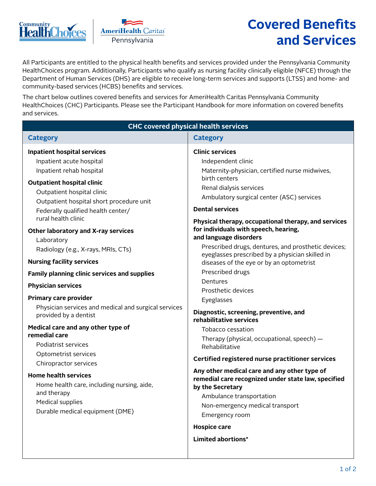



# **Covered Benefits and Services**

All Participants are entitled to the physical health benefits and services provided under the Pennsylvania Community HealthChoices program. Additionally, Participants who qualify as nursing facility clinically eligible (NFCE) through the Department of Human Services (DHS) are eligible to receive long-term services and supports (LTSS) and home- and community-based services (HCBS) benefits and services.

The chart below outlines covered benefits and services for AmeriHealth Caritas Pennsylvania Community HealthChoices (CHC) Participants. Please see the Participant Handbook for more information on covered benefits and services.

| <b>CHC covered physical health services</b>                                                                                                                                                                                                                                                                                                                                                                                                                                                                                                                                                                                                                                                                                                                                                                                                                                                   |                                                                                                                                                                                                                                                                                                                                                                                                                                                                                                                                                                                                                                                                                                                                                                                                                                                                                                                                                                                                                         |  |  |
|-----------------------------------------------------------------------------------------------------------------------------------------------------------------------------------------------------------------------------------------------------------------------------------------------------------------------------------------------------------------------------------------------------------------------------------------------------------------------------------------------------------------------------------------------------------------------------------------------------------------------------------------------------------------------------------------------------------------------------------------------------------------------------------------------------------------------------------------------------------------------------------------------|-------------------------------------------------------------------------------------------------------------------------------------------------------------------------------------------------------------------------------------------------------------------------------------------------------------------------------------------------------------------------------------------------------------------------------------------------------------------------------------------------------------------------------------------------------------------------------------------------------------------------------------------------------------------------------------------------------------------------------------------------------------------------------------------------------------------------------------------------------------------------------------------------------------------------------------------------------------------------------------------------------------------------|--|--|
| <b>Category</b>                                                                                                                                                                                                                                                                                                                                                                                                                                                                                                                                                                                                                                                                                                                                                                                                                                                                               | <b>Category</b>                                                                                                                                                                                                                                                                                                                                                                                                                                                                                                                                                                                                                                                                                                                                                                                                                                                                                                                                                                                                         |  |  |
| <b>Inpatient hospital services</b><br>Inpatient acute hospital<br>Inpatient rehab hospital<br><b>Outpatient hospital clinic</b><br>Outpatient hospital clinic<br>Outpatient hospital short procedure unit<br>Federally qualified health center/<br>rural health clinic<br>Other laboratory and X-ray services<br>Laboratory<br>Radiology (e.g., X-rays, MRIs, CTs)<br><b>Nursing facility services</b><br><b>Family planning clinic services and supplies</b><br><b>Physician services</b><br><b>Primary care provider</b><br>Physician services and medical and surgical services<br>provided by a dentist<br>Medical care and any other type of<br>remedial care<br>Podiatrist services<br>Optometrist services<br>Chiropractor services<br><b>Home health services</b><br>Home health care, including nursing, aide,<br>and therapy<br>Medical supplies<br>Durable medical equipment (DME) | <b>Clinic services</b><br>Independent clinic<br>Maternity-physician, certified nurse midwives,<br>birth centers<br>Renal dialysis services<br>Ambulatory surgical center (ASC) services<br><b>Dental services</b><br>Physical therapy, occupational therapy, and services<br>for individuals with speech, hearing,<br>and language disorders<br>Prescribed drugs, dentures, and prosthetic devices;<br>eyeglasses prescribed by a physician skilled in<br>diseases of the eye or by an optometrist<br>Prescribed drugs<br>Dentures<br>Prosthetic devices<br>Eyeglasses<br>Diagnostic, screening, preventive, and<br>rehabilitative services<br>Tobacco cessation<br>Therapy (physical, occupational, speech) -<br>Rehabilitative<br>Certified registered nurse practitioner services<br>Any other medical care and any other type of<br>remedial care recognized under state law, specified<br>by the Secretary<br>Ambulance transportation<br>Non-emergency medical transport<br>Emergency room<br><b>Hospice care</b> |  |  |
|                                                                                                                                                                                                                                                                                                                                                                                                                                                                                                                                                                                                                                                                                                                                                                                                                                                                                               | Limited abortions*                                                                                                                                                                                                                                                                                                                                                                                                                                                                                                                                                                                                                                                                                                                                                                                                                                                                                                                                                                                                      |  |  |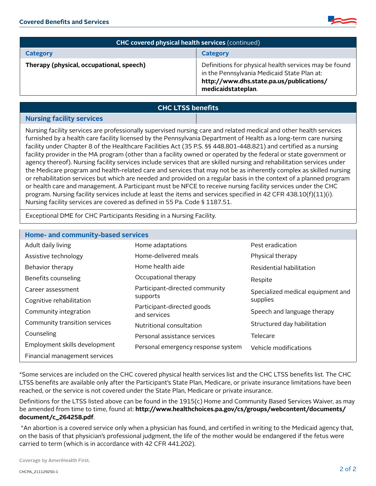

| <b>CHC covered physical health services (continued)</b> |                                                                                                                                                                        |  |
|---------------------------------------------------------|------------------------------------------------------------------------------------------------------------------------------------------------------------------------|--|
| <b>Category</b>                                         | Category                                                                                                                                                               |  |
| Therapy (physical, occupational, speech)                | Definitions for physical health services may be found<br>in the Pennsylvania Medicaid State Plan at:<br>http://www.dhs.state.pa.us/publications/<br>medicaidstateplan. |  |

#### **CHC LTSS benefits**

#### **Nursing facility services**

Nursing facility services are professionally supervised nursing care and related medical and other health services furnished by a health care facility licensed by the Pennsylvania Department of Health as a long-term care nursing facility under Chapter 8 of the Healthcare Facilities Act (35 P.S. §§ 448.801-448.821) and certified as a nursing facility provider in the MA program (other than a facility owned or operated by the federal or state government or agency thereof). Nursing facility services include services that are skilled nursing and rehabilitation services under the Medicare program and health-related care and services that may not be as inherently complex as skilled nursing or rehabilitation services but which are needed and provided on a regular basis in the context of a planned program or health care and management. A Participant must be NFCE to receive nursing facility services under the CHC program. Nursing facility services include at least the items and services specified in 42 CFR 438.10(f)(11)(i). Nursing facility services are covered as defined in 55 Pa. Code § 1187.51.

Exceptional DME for CHC Participants Residing in a Nursing Facility.

| <b>Home- and community-based services</b> |                                            |                                   |  |
|-------------------------------------------|--------------------------------------------|-----------------------------------|--|
| Adult daily living                        | Home adaptations                           | Pest eradication                  |  |
| Assistive technology                      | Home-delivered meals                       | Physical therapy                  |  |
| Behavior therapy                          | Home health aide                           | Residential habilitation          |  |
| Benefits counseling                       | Occupational therapy                       | Respite                           |  |
| Career assessment                         | Participant-directed community             | Specialized medical equipment and |  |
| Cognitive rehabilitation                  | supports                                   | supplies                          |  |
| Community integration                     | Participant-directed goods<br>and services | Speech and language therapy       |  |
| Community transition services             | Nutritional consultation                   | Structured day habilitation       |  |
| Counseling                                | Personal assistance services               | Telecare                          |  |
| Employment skills development             | Personal emergency response system         | Vehicle modifications             |  |
| Financial management services             |                                            |                                   |  |

\*Some services are included on the CHC covered physical health services list and the CHC LTSS benefits list. The CHC LTSS benefits are available only after the Participant's State Plan, Medicare, or private insurance limitations have been reached, or the service is not covered under the State Plan, Medicare or private insurance.

Definitions for the LTSS listed above can be found in the 1915(c) Home and Community Based Services Waiver, as may be amended from time to time, found at: **[http://www.healthchoices.pa.gov/cs/groups/webcontent/documents/](http://www.healthchoices.pa.gov/cs/groups/webcontent/documents/document/c_264258.pdf) [document/c\\_264258.pdf](http://www.healthchoices.pa.gov/cs/groups/webcontent/documents/document/c_264258.pdf)**.

 \*An abortion is a covered service only when a physician has found, and certified in writing to the Medicaid agency that, on the basis of that physician's professional judgment, the life of the mother would be endangered if the fetus were carried to term (which is in accordance with 42 CFR 441.202).

Coverage by AmeriHealth First.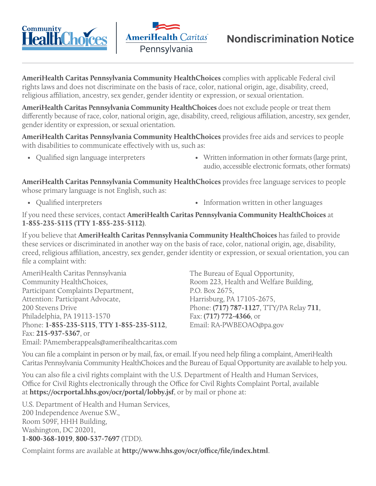



## **Nondiscrimination Notice**

**AmeriHealth Caritas Pennsylvania Community HealthChoices** complies with applicable Federal civil rights laws and does not discriminate on the basis of race, color, national origin, age, disability, creed, religious affiliation, ancestry, sex gender, gender identity or expression, or sexual orientation.

**AmeriHealth Caritas Pennsylvania Community HealthChoices** does not exclude people or treat them differently because of race, color, national origin, age, disability, creed, religious affiliation, ancestry, sex gender, gender identity or expression, or sexual orientation.

**AmeriHealth Caritas Pennsylvania Community HealthChoices** provides free aids and services to people with disabilities to communicate effectively with us, such as:

- 
- Qualified sign language interpreters Written information in other formats (large print, audio, accessible electronic formats, other formats)

**AmeriHealth Caritas Pennsylvania Community HealthChoices** provides free language services to people whose primary language is not English, such as:

- 
- Qualified interpreters Information written in other languages

If you need these services, contact **AmeriHealth Caritas Pennsylvania Community HealthChoices** at **1-855-235-5115 (TTY 1-855-235-5112)**.

If you believe that **AmeriHealth Caritas Pennsylvania Community HealthChoices** has failed to provide these services or discriminated in another way on the basis of race, color, national origin, age, disability, creed, religious affiliation, ancestry, sex gender, gender identity or expression, or sexual orientation, you can file a complaint with:

AmeriHealth Caritas Pennsylvania Community HealthChoices, Participant Complaints Department, Attention: Participant Advocate, 200 Stevens Drive Philadelphia, PA 19113-1570 Phone: **1-855-235-5115**, **TTY 1-855-235-5112**, Fax: **215-937-5367**, or Email: PAmemberappeals@amerihealthcaritas.com The Bureau of Equal Opportunity, Room 223, Health and Welfare Building, P.O. Box 2675, Harrisburg, PA 17105-2675, Phone: **(717) 787-1127**, TTY/PA Relay **711**, Fax: **(717) 772-4366**, or Email: RA-PWBEOAO@pa.gov

You can file a complaint in person or by mail, fax, or email. If you need help filing a complaint, AmeriHealth Caritas Pennsylvania Community HealthChoices and the Bureau of Equal Opportunity are available to help you.

You can also file a civil rights complaint with the U.S. Department of Health and Human Services, Office for Civil Rights electronically through the Office for Civil Rights Complaint Portal, available at **https://ocrportal.hhs.gov/ocr/portal/lobby.jsf**, or by mail or phone at:

U.S. Department of Health and Human Services, 200 Independence Avenue S.W., Room 509F, HHH Building, Washington, DC 20201, **1-800-368-1019**, **800-537-7697** (TDD).

Complaint forms are available at **http://www.hhs.gov/ocr/office/file/index.html**.